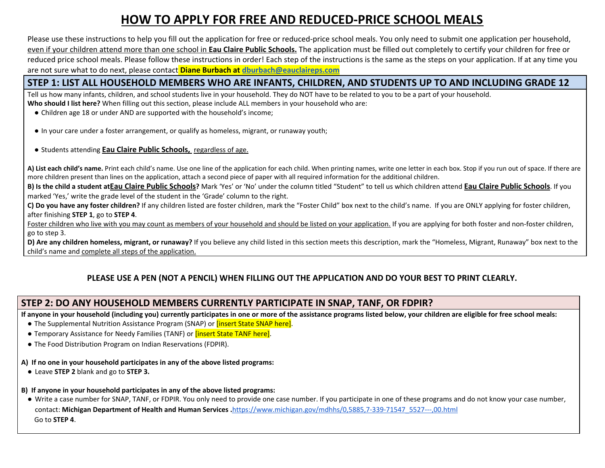# **HOW TO APPLY FOR FREE AND REDUCED-PRICE SCHOOL MEALS**

Please use these instructions to help you fill out the application for free or reduced-price school meals. You only need to submit one application per household, even if your children attend more than one school in **Eau Claire Public Schools.** The application must be filled out completely to certify your children for free or reduced price school meals. Please follow these instructions in order! Each step of the instructions is the same as the steps on your application. If at any time you are not sure what to do next, please contact **Diane Burbach at [dburbach@eauclaireps.com](mailto:dburbach@eauclaireps.com)**

### STEP 1: LIST ALL HOUSEHOLD MEMBERS WHO ARE INFANTS, CHILDREN, AND STUDENTS UP TO AND INCLUDING GRADE 12

Tell us how many infants, children, and school students live in your household. They do NOT have to be related to you to be a part of your household. **Who should I list here?** When filling out this section, please include ALL members in your household who are:

- Children age 18 or under AND are supported with the household's income;
- In your care under a foster arrangement, or qualify as homeless, migrant, or runaway youth;
- Students attending **Eau Claire Public Schools,** regardless of age.

A) List each child's name. Print each child's name. Use one line of the application for each child. When printing names, write one letter in each box. Stop if you run out of space. If there are more children present than lines on the application, attach a second piece of paper with all required information for the additional children.

B) Is the child a student atEau Claire Public Schools? Mark 'Yes' or 'No' under the column titled "Student" to tell us which children attend Eau Claire Public Schools. If you marked 'Yes,' write the grade level of the student in the 'Grade' column to the right.

C) Do you have any foster children? If any children listed are foster children, mark the "Foster Child" box next to the child's name. If you are ONLY applying for foster children, after finishing **STEP 1**, go to **STEP 4**.

Foster children who live with you may count as members of your household and should be listed on your application. If you are applying for both foster and non-foster children, go to step 3.

D) Are any children homeless, migrant, or runaway? If you believe any child listed in this section meets this description, mark the "Homeless, Migrant, Runaway" box next to the child's name and complete all steps of the application.

### **PLEASE USE A PEN (NOT A PENCIL) WHEN FILLING OUT THE APPLICATION AND DO YOUR BEST TO PRINT CLEARLY.**

# **STEP 2: DO ANY HOUSEHOLD MEMBERS CURRENTLY PARTICIPATE IN SNAP, TANF, OR FDPIR?**

If anyone in your household (including you) currently participates in one or more of the assistance programs listed below, your children are eligible for free school meals:

- The Supplemental Nutrition Assistance Program (SNAP) or *[insert State SNAP here]*.
- Temporary Assistance for Needy Families (TANF) or **[insert State TANF here]**.
- The Food Distribution Program on Indian Reservations (FDPIR).

#### **A) If no one in your household participates in any of the above listed programs:**

- Leave **STEP 2** blank and go to **STEP 3.**
- **B) If anyone in your household participates in any of the above listed programs:**
- Write a case number for SNAP, TANF, or FDPIR. You only need to provide one case number. If you participate in one of these programs and do not know your case number, contact: **Michigan Department of Health and Human Services .**[https://www.michigan.gov/mdhhs/0,5885,7-339-71547\\_5527---,00.html](https://www.michigan.gov/mdhhs/0,5885,7-339-71547_5527---,00.html) Go to **STEP 4**.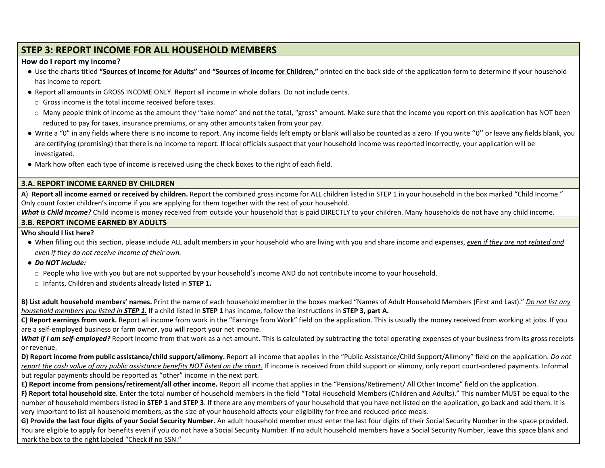# **STEP 3: REPORT INCOME FOR ALL HOUSEHOLD MEMBERS**

#### **How do I report my income?**

- Use the charts titled "Sources of Income for Adults" and "Sources of Income for Children," printed on the back side of the application form to determine if your household has income to report.
- Report all amounts in GROSS INCOME ONLY. Report all income in whole dollars. Do not include cents.
	- o Gross income is the total income received before taxes.
	- $\circ$  Many people think of income as the amount they "take home" and not the total, "gross" amount. Make sure that the income you report on this application has NOT been reduced to pay for taxes, insurance premiums, or any other amounts taken from your pay.
- Write a "0" in any fields where there is no income to report. Any income fields left empty or blank will also be counted as a zero. If you write "0" or leave any fields blank, you are certifying (promising) that there is no income to report. If local officials suspect that your household income was reported incorrectly, your application will be investigated.
- Mark how often each type of income is received using the check boxes to the right of each field.

#### **3.A. REPORT INCOME EARNED BY CHILDREN**

A) Report all income earned or received by children. Report the combined gross income for ALL children listed in STEP 1 in your household in the box marked "Child Income." Only count foster children's income if you are applying for them together with the rest of your household.

*What is Child Income?* Child income is money received from outside your household that is paid DIRECTLY to your children. Many households do not have any child income.

#### **3.B. REPORT INCOME EARNED BY ADULTS**

#### **Who should I list here?**

- When filling out this section, please include ALL adult members in your household who are living with you and share income and expenses, even if they are not related and *even if they do not receive income of their own.*
- *● Do NOT include:*
	- o People who live with you but are not supported by your household's income AND do not contribute income to your household.
	- o Infants, Children and students already listed in **STEP 1.**

B) List adult household members' names. Print the name of each household member in the boxes marked "Names of Adult Household Members (First and Last)." Do not list any *household members you listed in STEP 1.* If a child listed in **STEP 1** has income, follow the instructions in **STEP 3, part A.**

**C) Report earnings from work.** Report all income from work in the "Earnings from Work" field on the application. This is usually the money received from working at jobs. If you are a self-employed business or farm owner, you will report your net income.

What if I am self-employed? Report income from that work as a net amount. This is calculated by subtracting the total operating expenses of your business from its gross receipts or revenue.

D) Report income from public assistance/child support/alimony. Report all income that applies in the "Public Assistance/Child Support/Alimony" field on the application. Do not report the cash value of any public assistance benefits NOT listed on the chart. If income is received from child support or alimony, only report court-ordered payments. Informal but regular payments should be reported as "other" income in the next part.

**E) Report income from pensions/retirement/all other income.** Report all income that applies in the "Pensions/Retirement/ All Other Income" field on the application.

**F) Report total household size.** Enter the total number of household members in the field "Total Household Members (Children and Adults)." This number MUST be equal to the number of household members listed in **STEP 1** and **STEP 3**. If there are any members of your household that you have not listed on the application, go back and add them. It is very important to list all household members, as the size of your household affects your eligibility for free and reduced-price meals.

G) Provide the last four digits of your Social Security Number. An adult household member must enter the last four digits of their Social Security Number in the space provided. You are eligible to apply for benefits even if you do not have a Social Security Number. If no adult household members have a Social Security Number, leave this space blank and mark the box to the right labeled "Check if no SSN."